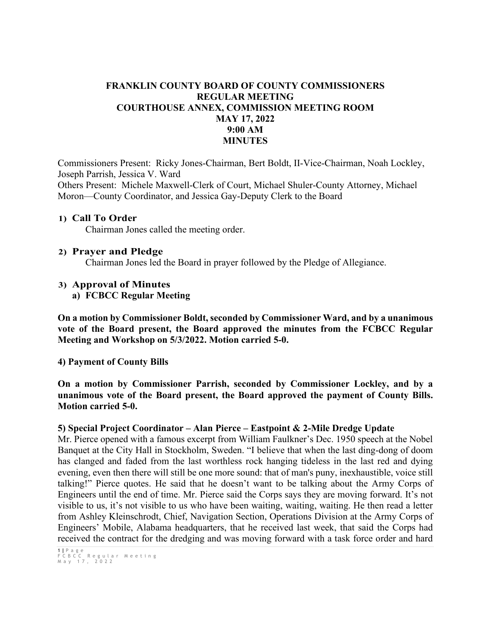## **FRANKLIN COUNTY BOARD OF COUNTY COMMISSIONERS REGULAR MEETING COURTHOUSE ANNEX, COMMISSION MEETING ROOM MAY 17, 2022 9:00 AM MINUTES**

Commissioners Present: Ricky Jones-Chairman, Bert Boldt, II-Vice-Chairman, Noah Lockley, Joseph Parrish, Jessica V. Ward Others Present: Michele Maxwell-Clerk of Court, Michael Shuler-County Attorney, Michael Moron—County Coordinator, and Jessica Gay-Deputy Clerk to the Board

#### **1) Call To Order**

Chairman Jones called the meeting order.

#### **2) Prayer and Pledge**

Chairman Jones led the Board in prayer followed by the Pledge of Allegiance.

#### **3) Approval of Minutes**

**a) FCBCC Regular Meeting** 

**On a motion by Commissioner Boldt, seconded by Commissioner Ward, and by a unanimous vote of the Board present, the Board approved the minutes from the FCBCC Regular Meeting and Workshop on 5/3/2022. Motion carried 5-0.**

#### **4) Payment of County Bills**

**On a motion by Commissioner Parrish, seconded by Commissioner Lockley, and by a unanimous vote of the Board present, the Board approved the payment of County Bills. Motion carried 5-0.**

#### **5) Special Project Coordinator – Alan Pierce – Eastpoint & 2-Mile Dredge Update**

Mr. Pierce opened with a famous excerpt from William Faulkner's Dec. 1950 speech at the Nobel Banquet at the City Hall in Stockholm, Sweden. "I believe that when the last ding-dong of doom has clanged and faded from the last worthless rock hanging tideless in the last red and dying evening, even then there will still be one more sound: that of man's puny, inexhaustible, voice still talking!" Pierce quotes. He said that he doesn't want to be talking about the Army Corps of Engineers until the end of time. Mr. Pierce said the Corps says they are moving forward. It's not visible to us, it's not visible to us who have been waiting, waiting, waiting. He then read a letter from Ashley Kleinschrodt, Chief, Navigation Section, Operations Division at the Army Corps of Engineers' Mobile, Alabama headquarters, that he received last week, that said the Corps had received the contract for the dredging and was moving forward with a task force order and hard

<sup>1</sup> **|** Page FCBCC Regular Meeting May 1 7 , 2022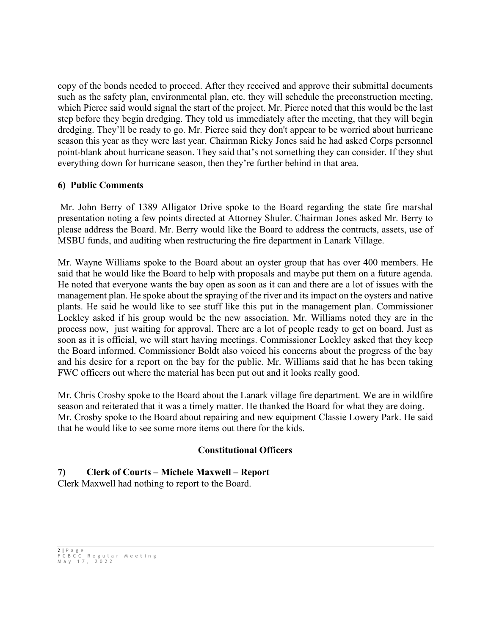copy of the bonds needed to proceed. After they received and approve their submittal documents such as the safety plan, environmental plan, etc. they will schedule the preconstruction meeting, which Pierce said would signal the start of the project. Mr. Pierce noted that this would be the last step before they begin dredging. They told us immediately after the meeting, that they will begin dredging. They'll be ready to go. Mr. Pierce said they don't appear to be worried about hurricane season this year as they were last year. Chairman Ricky Jones said he had asked Corps personnel point-blank about hurricane season. They said that's not something they can consider. If they shut everything down for hurricane season, then they're further behind in that area.

## **6) Public Comments**

Mr. John Berry of 1389 Alligator Drive spoke to the Board regarding the state fire marshal presentation noting a few points directed at Attorney Shuler. Chairman Jones asked Mr. Berry to please address the Board. Mr. Berry would like the Board to address the contracts, assets, use of MSBU funds, and auditing when restructuring the fire department in Lanark Village.

Mr. Wayne Williams spoke to the Board about an oyster group that has over 400 members. He said that he would like the Board to help with proposals and maybe put them on a future agenda. He noted that everyone wants the bay open as soon as it can and there are a lot of issues with the management plan. He spoke about the spraying of the river and its impact on the oysters and native plants. He said he would like to see stuff like this put in the management plan. Commissioner Lockley asked if his group would be the new association. Mr. Williams noted they are in the process now, just waiting for approval. There are a lot of people ready to get on board. Just as soon as it is official, we will start having meetings. Commissioner Lockley asked that they keep the Board informed. Commissioner Boldt also voiced his concerns about the progress of the bay and his desire for a report on the bay for the public. Mr. Williams said that he has been taking FWC officers out where the material has been put out and it looks really good.

Mr. Chris Crosby spoke to the Board about the Lanark village fire department. We are in wildfire season and reiterated that it was a timely matter. He thanked the Board for what they are doing. Mr. Crosby spoke to the Board about repairing and new equipment Classie Lowery Park. He said that he would like to see some more items out there for the kids.

## **Constitutional Officers**

# **7) Clerk of Courts – Michele Maxwell – Report**

Clerk Maxwell had nothing to report to the Board.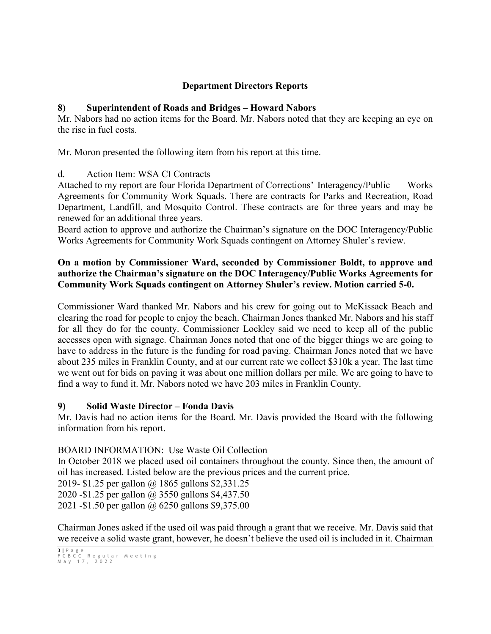## **Department Directors Reports**

## **8) Superintendent of Roads and Bridges – Howard Nabors**

Mr. Nabors had no action items for the Board. Mr. Nabors noted that they are keeping an eye on the rise in fuel costs.

Mr. Moron presented the following item from his report at this time.

## d. Action Item: WSA CI Contracts

Attached to my report are four Florida Department of Corrections' Interagency/Public Works Agreements for Community Work Squads. There are contracts for Parks and Recreation, Road Department, Landfill, and Mosquito Control. These contracts are for three years and may be renewed for an additional three years.

Board action to approve and authorize the Chairman's signature on the DOC Interagency/Public Works Agreements for Community Work Squads contingent on Attorney Shuler's review.

## **On a motion by Commissioner Ward, seconded by Commissioner Boldt, to approve and authorize the Chairman's signature on the DOC Interagency/Public Works Agreements for Community Work Squads contingent on Attorney Shuler's review. Motion carried 5-0.**

Commissioner Ward thanked Mr. Nabors and his crew for going out to McKissack Beach and clearing the road for people to enjoy the beach. Chairman Jones thanked Mr. Nabors and his staff for all they do for the county. Commissioner Lockley said we need to keep all of the public accesses open with signage. Chairman Jones noted that one of the bigger things we are going to have to address in the future is the funding for road paving. Chairman Jones noted that we have about 235 miles in Franklin County, and at our current rate we collect \$310k a year. The last time we went out for bids on paving it was about one million dollars per mile. We are going to have to find a way to fund it. Mr. Nabors noted we have 203 miles in Franklin County.

## **9) Solid Waste Director – Fonda Davis**

Mr. Davis had no action items for the Board. Mr. Davis provided the Board with the following information from his report.

## BOARD INFORMATION: Use Waste Oil Collection

In October 2018 we placed used oil containers throughout the county. Since then, the amount of oil has increased. Listed below are the previous prices and the current price. 2019- \$1.25 per gallon @ 1865 gallons \$2,331.25 2020 -\$1.25 per gallon @ 3550 gallons \$4,437.50

2021 -\$1.50 per gallon @ 6250 gallons \$9,375.00

Chairman Jones asked if the used oil was paid through a grant that we receive. Mr. Davis said that we receive a solid waste grant, however, he doesn't believe the used oil is included in it. Chairman

<sup>3</sup> **|** Page FCBCC Regular Meeting May 1 7 , 2022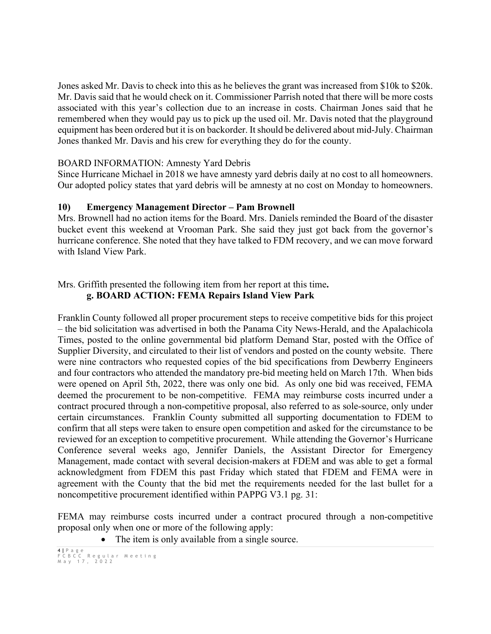Jones asked Mr. Davis to check into this as he believes the grant was increased from \$10k to \$20k. Mr. Davis said that he would check on it. Commissioner Parrish noted that there will be more costs associated with this year's collection due to an increase in costs. Chairman Jones said that he remembered when they would pay us to pick up the used oil. Mr. Davis noted that the playground equipment has been ordered but it is on backorder. It should be delivered about mid-July. Chairman Jones thanked Mr. Davis and his crew for everything they do for the county.

#### BOARD INFORMATION: Amnesty Yard Debris

Since Hurricane Michael in 2018 we have amnesty yard debris daily at no cost to all homeowners. Our adopted policy states that yard debris will be amnesty at no cost on Monday to homeowners.

#### **10) Emergency Management Director – Pam Brownell**

Mrs. Brownell had no action items for the Board. Mrs. Daniels reminded the Board of the disaster bucket event this weekend at Vrooman Park. She said they just got back from the governor's hurricane conference. She noted that they have talked to FDM recovery, and we can move forward with Island View Park.

## Mrs. Griffith presented the following item from her report at this time**. g. BOARD ACTION: FEMA Repairs Island View Park**

Franklin County followed all proper procurement steps to receive competitive bids for this project – the bid solicitation was advertised in both the Panama City News-Herald, and the Apalachicola Times, posted to the online governmental bid platform Demand Star, posted with the Office of Supplier Diversity, and circulated to their list of vendors and posted on the county website. There were nine contractors who requested copies of the bid specifications from Dewberry Engineers and four contractors who attended the mandatory pre-bid meeting held on March 17th. When bids were opened on April 5th, 2022, there was only one bid. As only one bid was received, FEMA deemed the procurement to be non-competitive. FEMA may reimburse costs incurred under a contract procured through a non-competitive proposal, also referred to as sole-source, only under certain circumstances. Franklin County submitted all supporting documentation to FDEM to confirm that all steps were taken to ensure open competition and asked for the circumstance to be reviewed for an exception to competitive procurement. While attending the Governor's Hurricane Conference several weeks ago, Jennifer Daniels, the Assistant Director for Emergency Management, made contact with several decision-makers at FDEM and was able to get a formal acknowledgment from FDEM this past Friday which stated that FDEM and FEMA were in agreement with the County that the bid met the requirements needed for the last bullet for a noncompetitive procurement identified within PAPPG V3.1 pg. 31:

FEMA may reimburse costs incurred under a contract procured through a non-competitive proposal only when one or more of the following apply:

The item is only available from a single source.

<sup>4</sup> **|** Page FCBCC Regular Meeting May 1 7 , 2022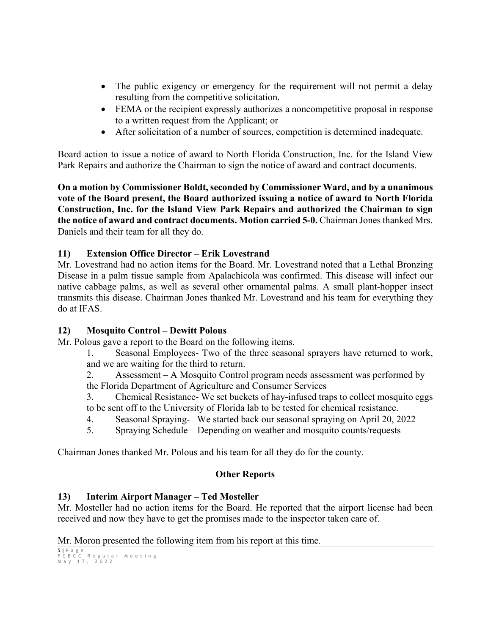- The public exigency or emergency for the requirement will not permit a delay resulting from the competitive solicitation.
- FEMA or the recipient expressly authorizes a noncompetitive proposal in response to a written request from the Applicant; or
- After solicitation of a number of sources, competition is determined inadequate.

Board action to issue a notice of award to North Florida Construction, Inc. for the Island View Park Repairs and authorize the Chairman to sign the notice of award and contract documents.

**On a motion by Commissioner Boldt, seconded by Commissioner Ward, and by a unanimous vote of the Board present, the Board authorized issuing a notice of award to North Florida Construction, Inc. for the Island View Park Repairs and authorized the Chairman to sign the notice of award and contract documents. Motion carried 5-0.** Chairman Jones thanked Mrs. Daniels and their team for all they do.

## **11) Extension Office Director – Erik Lovestrand**

Mr. Lovestrand had no action items for the Board. Mr. Lovestrand noted that a Lethal Bronzing Disease in a palm tissue sample from Apalachicola was confirmed. This disease will infect our native cabbage palms, as well as several other ornamental palms. A small plant-hopper insect transmits this disease. Chairman Jones thanked Mr. Lovestrand and his team for everything they do at IFAS.

## **12) Mosquito Control – Dewitt Polous**

Mr. Polous gave a report to the Board on the following items.

1. Seasonal Employees- Two of the three seasonal sprayers have returned to work, and we are waiting for the third to return.

2. Assessment – A Mosquito Control program needs assessment was performed by the Florida Department of Agriculture and Consumer Services

3. Chemical Resistance- We set buckets of hay-infused traps to collect mosquito eggs to be sent off to the University of Florida lab to be tested for chemical resistance.

- 4. Seasonal Spraying- We started back our seasonal spraying on April 20, 2022
- 5. Spraying Schedule Depending on weather and mosquito counts/requests

Chairman Jones thanked Mr. Polous and his team for all they do for the county.

## **Other Reports**

## **13) Interim Airport Manager – Ted Mosteller**

Mr. Mosteller had no action items for the Board. He reported that the airport license had been received and now they have to get the promises made to the inspector taken care of.

Mr. Moron presented the following item from his report at this time.

```
5 | Page
FCBCC Regular Meeting
May 1 7 , 2022
```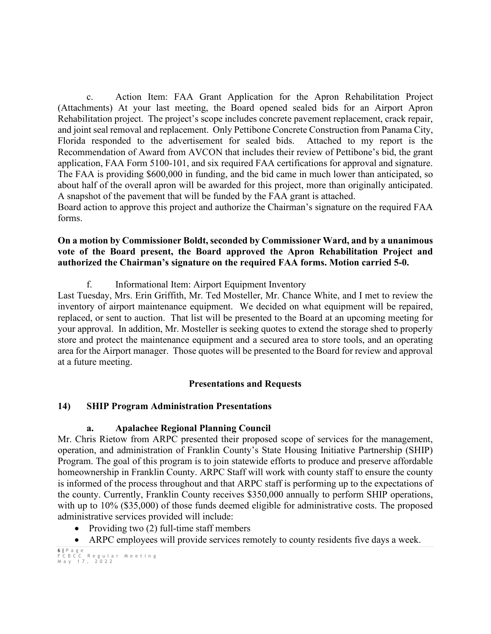c. Action Item: FAA Grant Application for the Apron Rehabilitation Project (Attachments) At your last meeting, the Board opened sealed bids for an Airport Apron Rehabilitation project. The project's scope includes concrete pavement replacement, crack repair, and joint seal removal and replacement. Only Pettibone Concrete Construction from Panama City, Florida responded to the advertisement for sealed bids. Attached to my report is the Recommendation of Award from AVCON that includes their review of Pettibone's bid, the grant application, FAA Form 5100-101, and six required FAA certifications for approval and signature. The FAA is providing \$600,000 in funding, and the bid came in much lower than anticipated, so about half of the overall apron will be awarded for this project, more than originally anticipated. A snapshot of the pavement that will be funded by the FAA grant is attached. Board action to approve this project and authorize the Chairman's signature on the required FAA

forms.

#### **On a motion by Commissioner Boldt, seconded by Commissioner Ward, and by a unanimous vote of the Board present, the Board approved the Apron Rehabilitation Project and authorized the Chairman's signature on the required FAA forms. Motion carried 5-0.**

f. Informational Item: Airport Equipment Inventory

Last Tuesday, Mrs. Erin Griffith, Mr. Ted Mosteller, Mr. Chance White, and I met to review the inventory of airport maintenance equipment. We decided on what equipment will be repaired, replaced, or sent to auction. That list will be presented to the Board at an upcoming meeting for your approval. In addition, Mr. Mosteller is seeking quotes to extend the storage shed to properly store and protect the maintenance equipment and a secured area to store tools, and an operating area for the Airport manager. Those quotes will be presented to the Board for review and approval at a future meeting.

## **Presentations and Requests**

# **14) SHIP Program Administration Presentations**

## **a. Apalachee Regional Planning Council**

Mr. Chris Rietow from ARPC presented their proposed scope of services for the management, operation, and administration of Franklin County's State Housing Initiative Partnership (SHIP) Program. The goal of this program is to join statewide efforts to produce and preserve affordable homeownership in Franklin County. ARPC Staff will work with county staff to ensure the county is informed of the process throughout and that ARPC staff is performing up to the expectations of the county. Currently, Franklin County receives \$350,000 annually to perform SHIP operations, with up to 10% (\$35,000) of those funds deemed eligible for administrative costs. The proposed administrative services provided will include:

- Providing two (2) full-time staff members
- ARPC employees will provide services remotely to county residents five days a week.

<sup>6</sup> **|** Page FCBCC Regular Meeting May 1 7 , 2022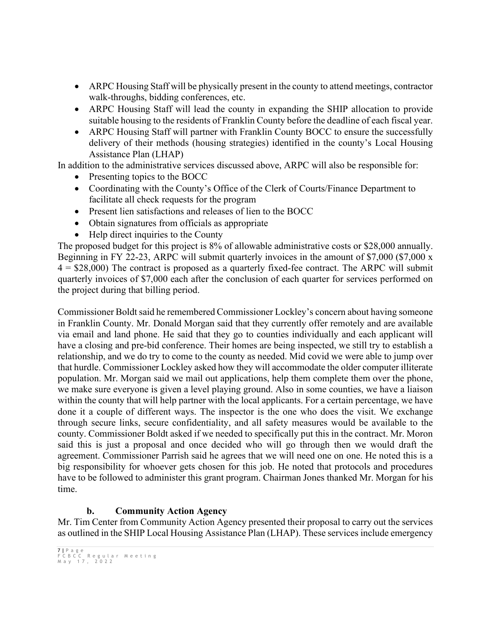- ARPC Housing Staff will be physically present in the county to attend meetings, contractor walk-throughs, bidding conferences, etc.
- ARPC Housing Staff will lead the county in expanding the SHIP allocation to provide suitable housing to the residents of Franklin County before the deadline of each fiscal year.
- ARPC Housing Staff will partner with Franklin County BOCC to ensure the successfully delivery of their methods (housing strategies) identified in the county's Local Housing Assistance Plan (LHAP)

In addition to the administrative services discussed above, ARPC will also be responsible for:

- Presenting topics to the BOCC
- Coordinating with the County's Office of the Clerk of Courts/Finance Department to facilitate all check requests for the program
- Present lien satisfactions and releases of lien to the BOCC
- Obtain signatures from officials as appropriate
- Help direct inquiries to the County

The proposed budget for this project is 8% of allowable administrative costs or \$28,000 annually. Beginning in FY 22-23, ARPC will submit quarterly invoices in the amount of \$7,000 (\$7,000 x  $4 = $28,000$  The contract is proposed as a quarterly fixed-fee contract. The ARPC will submit quarterly invoices of \$7,000 each after the conclusion of each quarter for services performed on the project during that billing period.

Commissioner Boldt said he remembered Commissioner Lockley's concern about having someone in Franklin County. Mr. Donald Morgan said that they currently offer remotely and are available via email and land phone. He said that they go to counties individually and each applicant will have a closing and pre-bid conference. Their homes are being inspected, we still try to establish a relationship, and we do try to come to the county as needed. Mid covid we were able to jump over that hurdle. Commissioner Lockley asked how they will accommodate the older computer illiterate population. Mr. Morgan said we mail out applications, help them complete them over the phone, we make sure everyone is given a level playing ground. Also in some counties, we have a liaison within the county that will help partner with the local applicants. For a certain percentage, we have done it a couple of different ways. The inspector is the one who does the visit. We exchange through secure links, secure confidentiality, and all safety measures would be available to the county. Commissioner Boldt asked if we needed to specifically put this in the contract. Mr. Moron said this is just a proposal and once decided who will go through then we would draft the agreement. Commissioner Parrish said he agrees that we will need one on one. He noted this is a big responsibility for whoever gets chosen for this job. He noted that protocols and procedures have to be followed to administer this grant program. Chairman Jones thanked Mr. Morgan for his time.

# **b. Community Action Agency**

Mr. Tim Center from Community Action Agency presented their proposal to carry out the services as outlined in the SHIP Local Housing Assistance Plan (LHAP). These services include emergency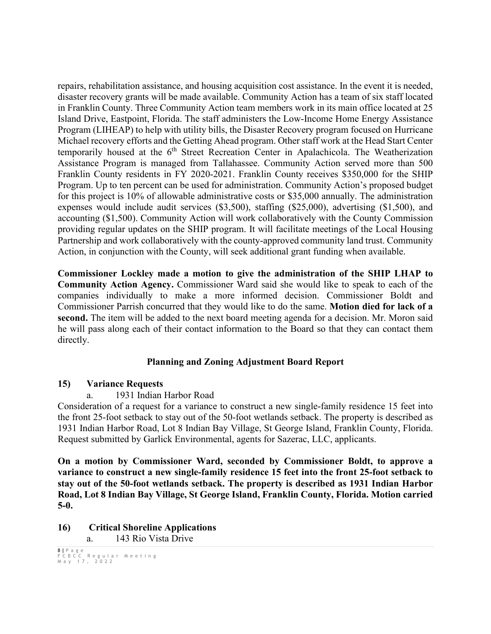repairs, rehabilitation assistance, and housing acquisition cost assistance. In the event it is needed, disaster recovery grants will be made available. Community Action has a team of six staff located in Franklin County. Three Community Action team members work in its main office located at 25 Island Drive, Eastpoint, Florida. The staff administers the Low-Income Home Energy Assistance Program (LIHEAP) to help with utility bills, the Disaster Recovery program focused on Hurricane Michael recovery efforts and the Getting Ahead program. Other staff work at the Head Start Center temporarily housed at the  $6<sup>th</sup>$  Street Recreation Center in Apalachicola. The Weatherization Assistance Program is managed from Tallahassee. Community Action served more than 500 Franklin County residents in FY 2020-2021. Franklin County receives \$350,000 for the SHIP Program. Up to ten percent can be used for administration. Community Action's proposed budget for this project is 10% of allowable administrative costs or \$35,000 annually. The administration expenses would include audit services (\$3,500), staffing (\$25,000), advertising (\$1,500), and accounting (\$1,500). Community Action will work collaboratively with the County Commission providing regular updates on the SHIP program. It will facilitate meetings of the Local Housing Partnership and work collaboratively with the county-approved community land trust. Community Action, in conjunction with the County, will seek additional grant funding when available.

**Commissioner Lockley made a motion to give the administration of the SHIP LHAP to Community Action Agency.** Commissioner Ward said she would like to speak to each of the companies individually to make a more informed decision. Commissioner Boldt and Commissioner Parrish concurred that they would like to do the same. **Motion died for lack of a second.** The item will be added to the next board meeting agenda for a decision. Mr. Moron said he will pass along each of their contact information to the Board so that they can contact them directly.

# **Planning and Zoning Adjustment Board Report**

## **15) Variance Requests**

a. 1931 Indian Harbor Road

Consideration of a request for a variance to construct a new single-family residence 15 feet into the front 25-foot setback to stay out of the 50-foot wetlands setback. The property is described as 1931 Indian Harbor Road, Lot 8 Indian Bay Village, St George Island, Franklin County, Florida. Request submitted by Garlick Environmental, agents for Sazerac, LLC, applicants.

**On a motion by Commissioner Ward, seconded by Commissioner Boldt, to approve a variance to construct a new single-family residence 15 feet into the front 25-foot setback to stay out of the 50-foot wetlands setback. The property is described as 1931 Indian Harbor Road, Lot 8 Indian Bay Village, St George Island, Franklin County, Florida. Motion carried 5-0.**

**16) Critical Shoreline Applications**

a. 143 Rio Vista Drive

<sup>8</sup> **|** Page FCBCC Regular Meeting May 1 7 , 2022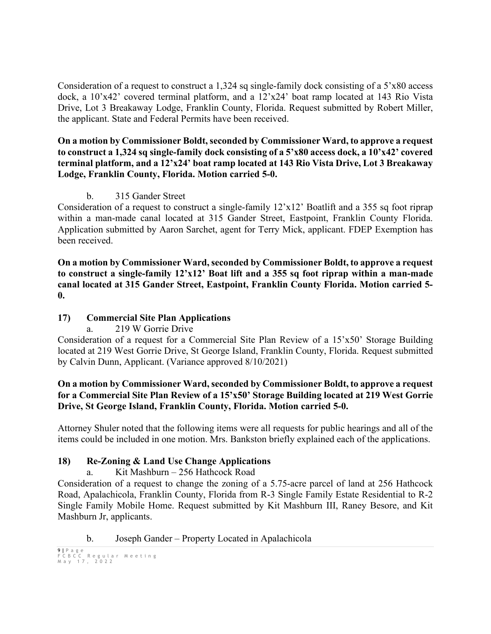Consideration of a request to construct a 1,324 sq single-family dock consisting of a 5'x80 access dock, a 10'x42' covered terminal platform, and a 12'x24' boat ramp located at 143 Rio Vista Drive, Lot 3 Breakaway Lodge, Franklin County, Florida. Request submitted by Robert Miller, the applicant. State and Federal Permits have been received.

#### **On a motion by Commissioner Boldt, seconded by Commissioner Ward, to approve a request to construct a 1,324 sq single-family dock consisting of a 5'x80 access dock, a 10'x42' covered terminal platform, and a 12'x24' boat ramp located at 143 Rio Vista Drive, Lot 3 Breakaway Lodge, Franklin County, Florida. Motion carried 5-0.**

## b. 315 Gander Street

Consideration of a request to construct a single-family 12'x12' Boatlift and a 355 sq foot riprap within a man-made canal located at 315 Gander Street, Eastpoint, Franklin County Florida. Application submitted by Aaron Sarchet, agent for Terry Mick, applicant. FDEP Exemption has been received.

**On a motion by Commissioner Ward, seconded by Commissioner Boldt, to approve a request to construct a single-family 12'x12' Boat lift and a 355 sq foot riprap within a man-made canal located at 315 Gander Street, Eastpoint, Franklin County Florida. Motion carried 5- 0.**

## **17) Commercial Site Plan Applications**

a. 219 W Gorrie Drive

Consideration of a request for a Commercial Site Plan Review of a 15'x50' Storage Building located at 219 West Gorrie Drive, St George Island, Franklin County, Florida. Request submitted by Calvin Dunn, Applicant. (Variance approved 8/10/2021)

## **On a motion by Commissioner Ward, seconded by Commissioner Boldt, to approve a request for a Commercial Site Plan Review of a 15'x50' Storage Building located at 219 West Gorrie Drive, St George Island, Franklin County, Florida. Motion carried 5-0.**

Attorney Shuler noted that the following items were all requests for public hearings and all of the items could be included in one motion. Mrs. Bankston briefly explained each of the applications.

# **18) Re-Zoning & Land Use Change Applications**

a. Kit Mashburn – 256 Hathcock Road

Consideration of a request to change the zoning of a 5.75-acre parcel of land at 256 Hathcock Road, Apalachicola, Franklin County, Florida from R-3 Single Family Estate Residential to R-2 Single Family Mobile Home. Request submitted by Kit Mashburn III, Raney Besore, and Kit Mashburn Jr, applicants.

b. Joseph Gander – Property Located in Apalachicola

```
9 | Page
FCBCC Regular Meeting
May 1 7 , 2022
```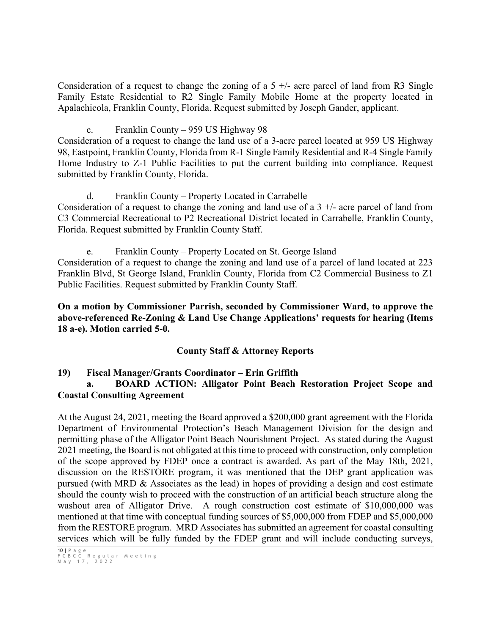Consideration of a request to change the zoning of a  $5 +/-$  acre parcel of land from R3 Single Family Estate Residential to R2 Single Family Mobile Home at the property located in Apalachicola, Franklin County, Florida. Request submitted by Joseph Gander, applicant.

c. Franklin County – 959 US Highway 98

Consideration of a request to change the land use of a 3-acre parcel located at 959 US Highway 98, Eastpoint, Franklin County, Florida from R-1 Single Family Residential and R-4 Single Family Home Industry to Z-1 Public Facilities to put the current building into compliance. Request submitted by Franklin County, Florida.

d. Franklin County – Property Located in Carrabelle Consideration of a request to change the zoning and land use of a  $3 +/-$  acre parcel of land from C3 Commercial Recreational to P2 Recreational District located in Carrabelle, Franklin County, Florida. Request submitted by Franklin County Staff.

e. Franklin County – Property Located on St. George Island Consideration of a request to change the zoning and land use of a parcel of land located at 223 Franklin Blvd, St George Island, Franklin County, Florida from C2 Commercial Business to Z1 Public Facilities. Request submitted by Franklin County Staff.

**On a motion by Commissioner Parrish, seconded by Commissioner Ward, to approve the above-referenced Re-Zoning & Land Use Change Applications' requests for hearing (Items 18 a-e). Motion carried 5-0.** 

## **County Staff & Attorney Reports**

# **19) Fiscal Manager/Grants Coordinator – Erin Griffith**

## **a. BOARD ACTION: Alligator Point Beach Restoration Project Scope and Coastal Consulting Agreement**

At the August 24, 2021, meeting the Board approved a \$200,000 grant agreement with the Florida Department of Environmental Protection's Beach Management Division for the design and permitting phase of the Alligator Point Beach Nourishment Project. As stated during the August 2021 meeting, the Board is not obligated at this time to proceed with construction, only completion of the scope approved by FDEP once a contract is awarded. As part of the May 18th, 2021, discussion on the RESTORE program, it was mentioned that the DEP grant application was pursued (with MRD & Associates as the lead) in hopes of providing a design and cost estimate should the county wish to proceed with the construction of an artificial beach structure along the washout area of Alligator Drive. A rough construction cost estimate of \$10,000,000 was mentioned at that time with conceptual funding sources of \$5,000,000 from FDEP and \$5,000,000 from the RESTORE program. MRD Associates has submitted an agreement for coastal consulting services which will be fully funded by the FDEP grant and will include conducting surveys,

<sup>10</sup> **|** Page FCBCC Regular Meeting May 1 7 , 2022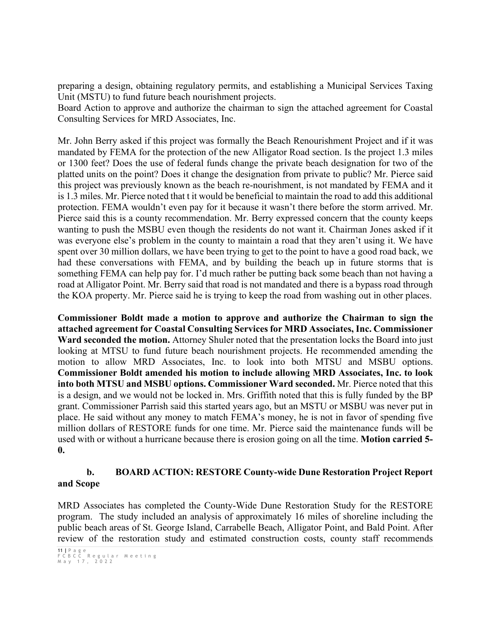preparing a design, obtaining regulatory permits, and establishing a Municipal Services Taxing Unit (MSTU) to fund future beach nourishment projects.

Board Action to approve and authorize the chairman to sign the attached agreement for Coastal Consulting Services for MRD Associates, Inc.

Mr. John Berry asked if this project was formally the Beach Renourishment Project and if it was mandated by FEMA for the protection of the new Alligator Road section. Is the project 1.3 miles or 1300 feet? Does the use of federal funds change the private beach designation for two of the platted units on the point? Does it change the designation from private to public? Mr. Pierce said this project was previously known as the beach re-nourishment, is not mandated by FEMA and it is 1.3 miles. Mr. Pierce noted that t it would be beneficial to maintain the road to add this additional protection. FEMA wouldn't even pay for it because it wasn't there before the storm arrived. Mr. Pierce said this is a county recommendation. Mr. Berry expressed concern that the county keeps wanting to push the MSBU even though the residents do not want it. Chairman Jones asked if it was everyone else's problem in the county to maintain a road that they aren't using it. We have spent over 30 million dollars, we have been trying to get to the point to have a good road back, we had these conversations with FEMA, and by building the beach up in future storms that is something FEMA can help pay for. I'd much rather be putting back some beach than not having a road at Alligator Point. Mr. Berry said that road is not mandated and there is a bypass road through the KOA property. Mr. Pierce said he is trying to keep the road from washing out in other places.

**Commissioner Boldt made a motion to approve and authorize the Chairman to sign the attached agreement for Coastal Consulting Services for MRD Associates, Inc. Commissioner Ward seconded the motion.** Attorney Shuler noted that the presentation locks the Board into just looking at MTSU to fund future beach nourishment projects. He recommended amending the motion to allow MRD Associates, Inc. to look into both MTSU and MSBU options. **Commissioner Boldt amended his motion to include allowing MRD Associates, Inc. to look into both MTSU and MSBU options. Commissioner Ward seconded.** Mr. Pierce noted that this is a design, and we would not be locked in. Mrs. Griffith noted that this is fully funded by the BP grant. Commissioner Parrish said this started years ago, but an MSTU or MSBU was never put in place. He said without any money to match FEMA's money, he is not in favor of spending five million dollars of RESTORE funds for one time. Mr. Pierce said the maintenance funds will be used with or without a hurricane because there is erosion going on all the time. **Motion carried 5- 0.**

## **b. BOARD ACTION: RESTORE County-wide Dune Restoration Project Report and Scope**

MRD Associates has completed the County-Wide Dune Restoration Study for the RESTORE program. The study included an analysis of approximately 16 miles of shoreline including the public beach areas of St. George Island, Carrabelle Beach, Alligator Point, and Bald Point. After review of the restoration study and estimated construction costs, county staff recommends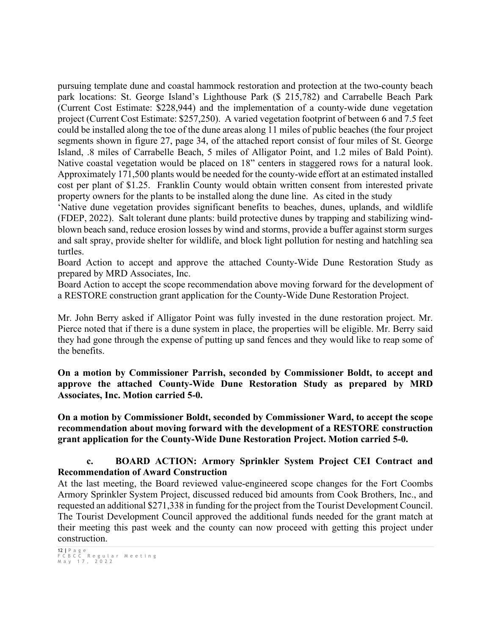pursuing template dune and coastal hammock restoration and protection at the two-county beach park locations: St. George Island's Lighthouse Park (\$ 215,782) and Carrabelle Beach Park (Current Cost Estimate: \$228,944) and the implementation of a county-wide dune vegetation project (Current Cost Estimate: \$257,250). A varied vegetation footprint of between 6 and 7.5 feet could be installed along the toe of the dune areas along 11 miles of public beaches (the four project segments shown in figure 27, page 34, of the attached report consist of four miles of St. George Island, .8 miles of Carrabelle Beach, 5 miles of Alligator Point, and 1.2 miles of Bald Point). Native coastal vegetation would be placed on 18" centers in staggered rows for a natural look. Approximately 171,500 plants would be needed for the county-wide effort at an estimated installed cost per plant of \$1.25. Franklin County would obtain written consent from interested private property owners for the plants to be installed along the dune line. As cited in the study

'Native dune vegetation provides significant benefits to beaches, dunes, uplands, and wildlife (FDEP, 2022). Salt tolerant dune plants: build protective dunes by trapping and stabilizing windblown beach sand, reduce erosion losses by wind and storms, provide a buffer against storm surges and salt spray, provide shelter for wildlife, and block light pollution for nesting and hatchling sea turtles.

Board Action to accept and approve the attached County-Wide Dune Restoration Study as prepared by MRD Associates, Inc.

Board Action to accept the scope recommendation above moving forward for the development of a RESTORE construction grant application for the County-Wide Dune Restoration Project.

Mr. John Berry asked if Alligator Point was fully invested in the dune restoration project. Mr. Pierce noted that if there is a dune system in place, the properties will be eligible. Mr. Berry said they had gone through the expense of putting up sand fences and they would like to reap some of the benefits.

**On a motion by Commissioner Parrish, seconded by Commissioner Boldt, to accept and approve the attached County-Wide Dune Restoration Study as prepared by MRD Associates, Inc. Motion carried 5-0.**

**On a motion by Commissioner Boldt, seconded by Commissioner Ward, to accept the scope recommendation about moving forward with the development of a RESTORE construction grant application for the County-Wide Dune Restoration Project. Motion carried 5-0.**

#### **c. BOARD ACTION: Armory Sprinkler System Project CEI Contract and Recommendation of Award Construction**

At the last meeting, the Board reviewed value-engineered scope changes for the Fort Coombs Armory Sprinkler System Project, discussed reduced bid amounts from Cook Brothers, Inc., and requested an additional \$271,338 in funding for the project from the Tourist Development Council. The Tourist Development Council approved the additional funds needed for the grant match at their meeting this past week and the county can now proceed with getting this project under construction.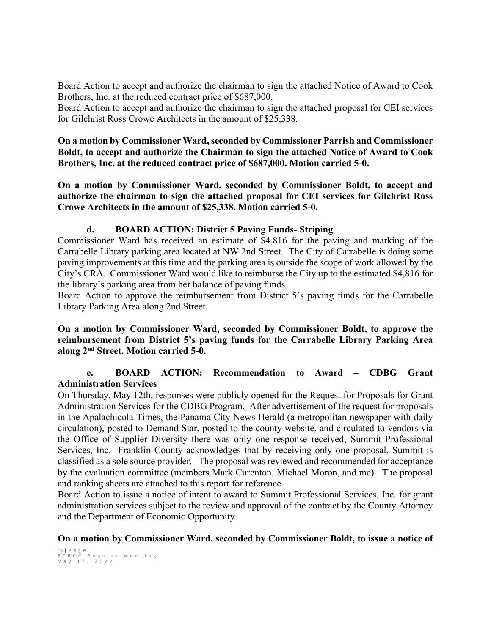Board Action to accept and authorize the chairman to sign the attached Notice of Award to Cook Brothers, Inc. at the reduced contract price of \$687,000.

Board Action to accept and authorize the chairman to sign the attached proposal for CEI services for Gilchrist Ross Crowe Architects in the amount of \$25,338.

#### **On a motion by Commissioner Ward, seconded by Commissioner Parrish and Commissioner Boldt, to accept and authorize the Chairman to sign the attached Notice of Award to Cook Brothers, Inc. at the reduced contract price of \$687,000. Motion carried 5-0.**

**On a motion by Commissioner Ward, seconded by Commissioner Boldt, to accept and authorize the chairman to sign the attached proposal for CEI services for Gilchrist Ross Crowe Architects in the amount of \$25,338. Motion carried 5-0.**

## **d. BOARD ACTION: District 5 Paving Funds- Striping**

Commissioner Ward has received an estimate of \$4,816 for the paving and marking of the Carrabelle Library parking area located at NW 2nd Street. The City of Carrabelle is doing some paving improvements at this time and the parking area is outside the scope of work allowed by the City's CRA. Commissioner Ward would like to reimburse the City up to the estimated \$4,816 for the library's parking area from her balance of paving funds.

Board Action to approve the reimbursement from District 5's paving funds for the Carrabelle Library Parking Area along 2nd Street.

## **On a motion by Commissioner Ward, seconded by Commissioner Boldt, to approve the reimbursement from District 5's paving funds for the Carrabelle Library Parking Area along 2nd Street. Motion carried 5-0.**

## **e. BOARD ACTION: Recommendation to Award – CDBG Grant Administration Services**

On Thursday, May 12th, responses were publicly opened for the Request for Proposals for Grant Administration Services for the CDBG Program. After advertisement of the request for proposals in the Apalachicola Times, the Panama City News Herald (a metropolitan newspaper with daily circulation), posted to Demand Star, posted to the county website, and circulated to vendors via the Office of Supplier Diversity there was only one response received, Summit Professional Services, Inc. Franklin County acknowledges that by receiving only one proposal, Summit is classified as a sole source provider. The proposal was reviewed and recommended for acceptance by the evaluation committee (members Mark Curenton, Michael Moron, and me). The proposal and ranking sheets are attached to this report for reference.

Board Action to issue a notice of intent to award to Summit Professional Services, Inc. for grant administration services subject to the review and approval of the contract by the County Attorney and the Department of Economic Opportunity.

## **On a motion by Commissioner Ward, seconded by Commissioner Boldt, to issue a notice of**

<sup>13</sup> **|** Page FCBCC Regular Meeting May 1 7 , 2022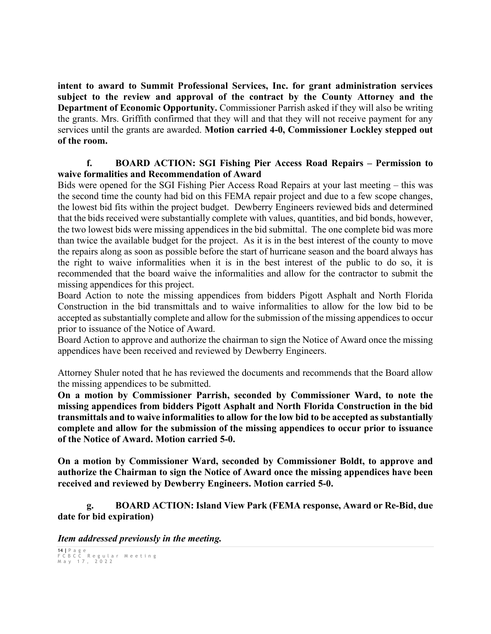**intent to award to Summit Professional Services, Inc. for grant administration services subject to the review and approval of the contract by the County Attorney and the Department of Economic Opportunity.** Commissioner Parrish asked if they will also be writing the grants. Mrs. Griffith confirmed that they will and that they will not receive payment for any services until the grants are awarded. **Motion carried 4-0, Commissioner Lockley stepped out of the room.**

#### **f. BOARD ACTION: SGI Fishing Pier Access Road Repairs – Permission to waive formalities and Recommendation of Award**

Bids were opened for the SGI Fishing Pier Access Road Repairs at your last meeting – this was the second time the county had bid on this FEMA repair project and due to a few scope changes, the lowest bid fits within the project budget. Dewberry Engineers reviewed bids and determined that the bids received were substantially complete with values, quantities, and bid bonds, however, the two lowest bids were missing appendices in the bid submittal. The one complete bid was more than twice the available budget for the project. As it is in the best interest of the county to move the repairs along as soon as possible before the start of hurricane season and the board always has the right to waive informalities when it is in the best interest of the public to do so, it is recommended that the board waive the informalities and allow for the contractor to submit the missing appendices for this project.

Board Action to note the missing appendices from bidders Pigott Asphalt and North Florida Construction in the bid transmittals and to waive informalities to allow for the low bid to be accepted as substantially complete and allow for the submission of the missing appendices to occur prior to issuance of the Notice of Award.

Board Action to approve and authorize the chairman to sign the Notice of Award once the missing appendices have been received and reviewed by Dewberry Engineers.

Attorney Shuler noted that he has reviewed the documents and recommends that the Board allow the missing appendices to be submitted.

**On a motion by Commissioner Parrish, seconded by Commissioner Ward, to note the missing appendices from bidders Pigott Asphalt and North Florida Construction in the bid transmittals and to waive informalities to allow for the low bid to be accepted as substantially complete and allow for the submission of the missing appendices to occur prior to issuance of the Notice of Award. Motion carried 5-0.**

**On a motion by Commissioner Ward, seconded by Commissioner Boldt, to approve and authorize the Chairman to sign the Notice of Award once the missing appendices have been received and reviewed by Dewberry Engineers. Motion carried 5-0.**

**g. BOARD ACTION: Island View Park (FEMA response, Award or Re-Bid, due date for bid expiration)**

*Item addressed previously in the meeting.* 

```
14 | Page
FCBCC Regular Meeting
May 1 7 , 2022
```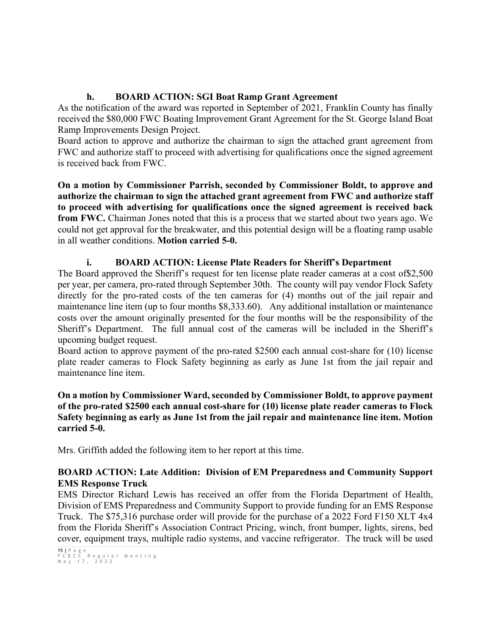## **h. BOARD ACTION: SGI Boat Ramp Grant Agreement**

As the notification of the award was reported in September of 2021, Franklin County has finally received the \$80,000 FWC Boating Improvement Grant Agreement for the St. George Island Boat Ramp Improvements Design Project.

Board action to approve and authorize the chairman to sign the attached grant agreement from FWC and authorize staff to proceed with advertising for qualifications once the signed agreement is received back from FWC.

**On a motion by Commissioner Parrish, seconded by Commissioner Boldt, to approve and authorize the chairman to sign the attached grant agreement from FWC and authorize staff to proceed with advertising for qualifications once the signed agreement is received back from FWC.** Chairman Jones noted that this is a process that we started about two years ago. We could not get approval for the breakwater, and this potential design will be a floating ramp usable in all weather conditions. **Motion carried 5-0.**

# **i. BOARD ACTION: License Plate Readers for Sheriff's Department**

The Board approved the Sheriff's request for ten license plate reader cameras at a cost of\$2,500 per year, per camera, pro-rated through September 30th. The county will pay vendor Flock Safety directly for the pro-rated costs of the ten cameras for (4) months out of the jail repair and maintenance line item (up to four months \$8,333.60). Any additional installation or maintenance costs over the amount originally presented for the four months will be the responsibility of the Sheriff's Department. The full annual cost of the cameras will be included in the Sheriff's upcoming budget request.

Board action to approve payment of the pro-rated \$2500 each annual cost-share for (10) license plate reader cameras to Flock Safety beginning as early as June 1st from the jail repair and maintenance line item.

#### **On a motion by Commissioner Ward, seconded by Commissioner Boldt, to approve payment of the pro-rated \$2500 each annual cost-share for (10) license plate reader cameras to Flock Safety beginning as early as June 1st from the jail repair and maintenance line item. Motion carried 5-0.**

Mrs. Griffith added the following item to her report at this time.

## **BOARD ACTION: Late Addition: Division of EM Preparedness and Community Support EMS Response Truck**

EMS Director Richard Lewis has received an offer from the Florida Department of Health, Division of EMS Preparedness and Community Support to provide funding for an EMS Response Truck. The \$75,316 purchase order will provide for the purchase of a 2022 Ford F150 XLT 4x4 from the Florida Sheriff's Association Contract Pricing, winch, front bumper, lights, sirens, bed cover, equipment trays, multiple radio systems, and vaccine refrigerator. The truck will be used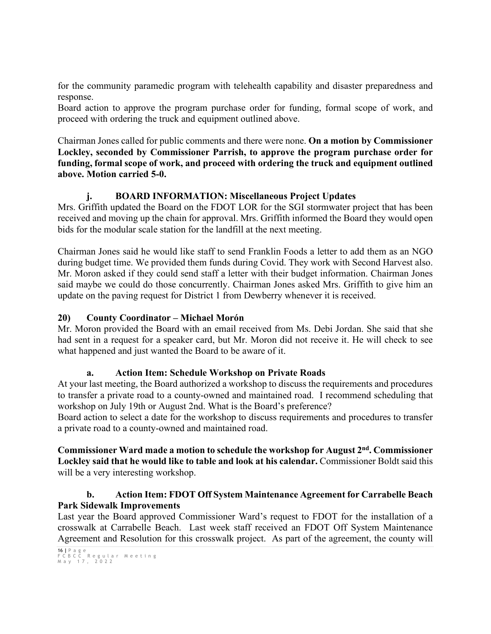for the community paramedic program with telehealth capability and disaster preparedness and response.

Board action to approve the program purchase order for funding, formal scope of work, and proceed with ordering the truck and equipment outlined above.

Chairman Jones called for public comments and there were none. **On a motion by Commissioner Lockley, seconded by Commissioner Parrish, to approve the program purchase order for funding, formal scope of work, and proceed with ordering the truck and equipment outlined above. Motion carried 5-0.**

## **j. BOARD INFORMATION: Miscellaneous Project Updates**

Mrs. Griffith updated the Board on the FDOT LOR for the SGI stormwater project that has been received and moving up the chain for approval. Mrs. Griffith informed the Board they would open bids for the modular scale station for the landfill at the next meeting.

Chairman Jones said he would like staff to send Franklin Foods a letter to add them as an NGO during budget time. We provided them funds during Covid. They work with Second Harvest also. Mr. Moron asked if they could send staff a letter with their budget information. Chairman Jones said maybe we could do those concurrently. Chairman Jones asked Mrs. Griffith to give him an update on the paving request for District 1 from Dewberry whenever it is received.

## **20) County Coordinator – Michael Morón**

Mr. Moron provided the Board with an email received from Ms. Debi Jordan. She said that she had sent in a request for a speaker card, but Mr. Moron did not receive it. He will check to see what happened and just wanted the Board to be aware of it.

## **a. Action Item: Schedule Workshop on Private Roads**

At your last meeting, the Board authorized a workshop to discuss the requirements and procedures to transfer a private road to a county-owned and maintained road. I recommend scheduling that workshop on July 19th or August 2nd. What is the Board's preference?

Board action to select a date for the workshop to discuss requirements and procedures to transfer a private road to a county-owned and maintained road.

## **Commissioner Ward made a motion to schedule the workshop for August 2nd. Commissioner Lockley said that he would like to table and look at his calendar.** Commissioner Boldt said this will be a very interesting workshop.

## **b. Action Item: FDOT Off System Maintenance Agreement for Carrabelle Beach Park Sidewalk Improvements**

Last year the Board approved Commissioner Ward's request to FDOT for the installation of a crosswalk at Carrabelle Beach. Last week staff received an FDOT Off System Maintenance Agreement and Resolution for this crosswalk project. As part of the agreement, the county will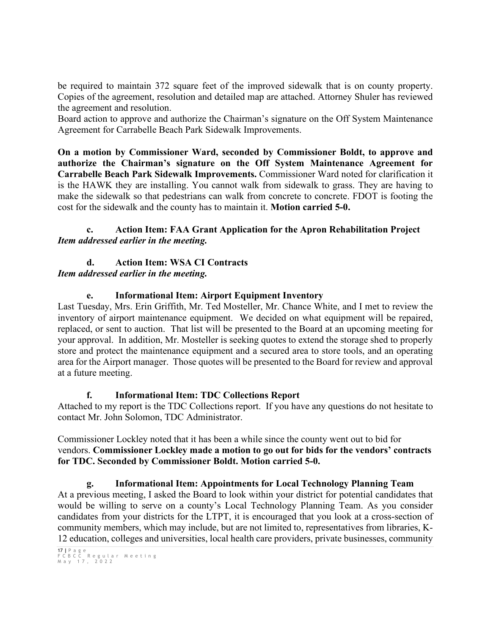be required to maintain 372 square feet of the improved sidewalk that is on county property. Copies of the agreement, resolution and detailed map are attached. Attorney Shuler has reviewed the agreement and resolution.

Board action to approve and authorize the Chairman's signature on the Off System Maintenance Agreement for Carrabelle Beach Park Sidewalk Improvements.

**On a motion by Commissioner Ward, seconded by Commissioner Boldt, to approve and authorize the Chairman's signature on the Off System Maintenance Agreement for Carrabelle Beach Park Sidewalk Improvements.** Commissioner Ward noted for clarification it is the HAWK they are installing. You cannot walk from sidewalk to grass. They are having to make the sidewalk so that pedestrians can walk from concrete to concrete. FDOT is footing the cost for the sidewalk and the county has to maintain it. **Motion carried 5-0.**

## **c. Action Item: FAA Grant Application for the Apron Rehabilitation Project** *Item addressed earlier in the meeting.*

#### **d. Action Item: WSA CI Contracts** *Item addressed earlier in the meeting.*

# **e. Informational Item: Airport Equipment Inventory**

Last Tuesday, Mrs. Erin Griffith, Mr. Ted Mosteller, Mr. Chance White, and I met to review the inventory of airport maintenance equipment. We decided on what equipment will be repaired, replaced, or sent to auction. That list will be presented to the Board at an upcoming meeting for your approval. In addition, Mr. Mosteller is seeking quotes to extend the storage shed to properly store and protect the maintenance equipment and a secured area to store tools, and an operating area for the Airport manager. Those quotes will be presented to the Board for review and approval at a future meeting.

# **f. Informational Item: TDC Collections Report**

Attached to my report is the TDC Collections report. If you have any questions do not hesitate to contact Mr. John Solomon, TDC Administrator.

Commissioner Lockley noted that it has been a while since the county went out to bid for vendors. **Commissioner Lockley made a motion to go out for bids for the vendors' contracts for TDC. Seconded by Commissioner Boldt. Motion carried 5-0.** 

## **g. Informational Item: Appointments for Local Technology Planning Team**

At a previous meeting, I asked the Board to look within your district for potential candidates that would be willing to serve on a county's Local Technology Planning Team. As you consider candidates from your districts for the LTPT, it is encouraged that you look at a cross-section of community members, which may include, but are not limited to, representatives from libraries, K-12 education, colleges and universities, local health care providers, private businesses, community

<sup>17</sup> **|** Page FCBCC Regular Meeting May 1 7 , 2022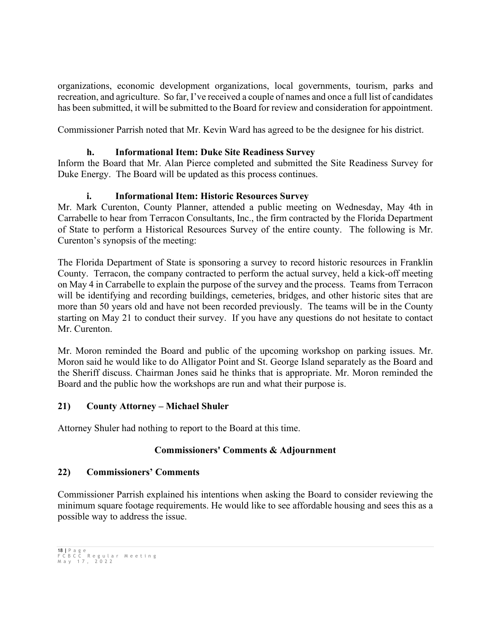organizations, economic development organizations, local governments, tourism, parks and recreation, and agriculture. So far, I've received a couple of names and once a full list of candidates has been submitted, it will be submitted to the Board for review and consideration for appointment.

Commissioner Parrish noted that Mr. Kevin Ward has agreed to be the designee for his district.

## **h. Informational Item: Duke Site Readiness Survey**

Inform the Board that Mr. Alan Pierce completed and submitted the Site Readiness Survey for Duke Energy. The Board will be updated as this process continues.

## **i. Informational Item: Historic Resources Survey**

Mr. Mark Curenton, County Planner, attended a public meeting on Wednesday, May 4th in Carrabelle to hear from Terracon Consultants, Inc., the firm contracted by the Florida Department of State to perform a Historical Resources Survey of the entire county. The following is Mr. Curenton's synopsis of the meeting:

The Florida Department of State is sponsoring a survey to record historic resources in Franklin County. Terracon, the company contracted to perform the actual survey, held a kick-off meeting on May 4 in Carrabelle to explain the purpose of the survey and the process. Teams from Terracon will be identifying and recording buildings, cemeteries, bridges, and other historic sites that are more than 50 years old and have not been recorded previously. The teams will be in the County starting on May 21 to conduct their survey. If you have any questions do not hesitate to contact Mr. Curenton.

Mr. Moron reminded the Board and public of the upcoming workshop on parking issues. Mr. Moron said he would like to do Alligator Point and St. George Island separately as the Board and the Sheriff discuss. Chairman Jones said he thinks that is appropriate. Mr. Moron reminded the Board and the public how the workshops are run and what their purpose is.

## **21) County Attorney – Michael Shuler**

Attorney Shuler had nothing to report to the Board at this time.

## **Commissioners' Comments & Adjournment**

## **22) Commissioners' Comments**

Commissioner Parrish explained his intentions when asking the Board to consider reviewing the minimum square footage requirements. He would like to see affordable housing and sees this as a possible way to address the issue.